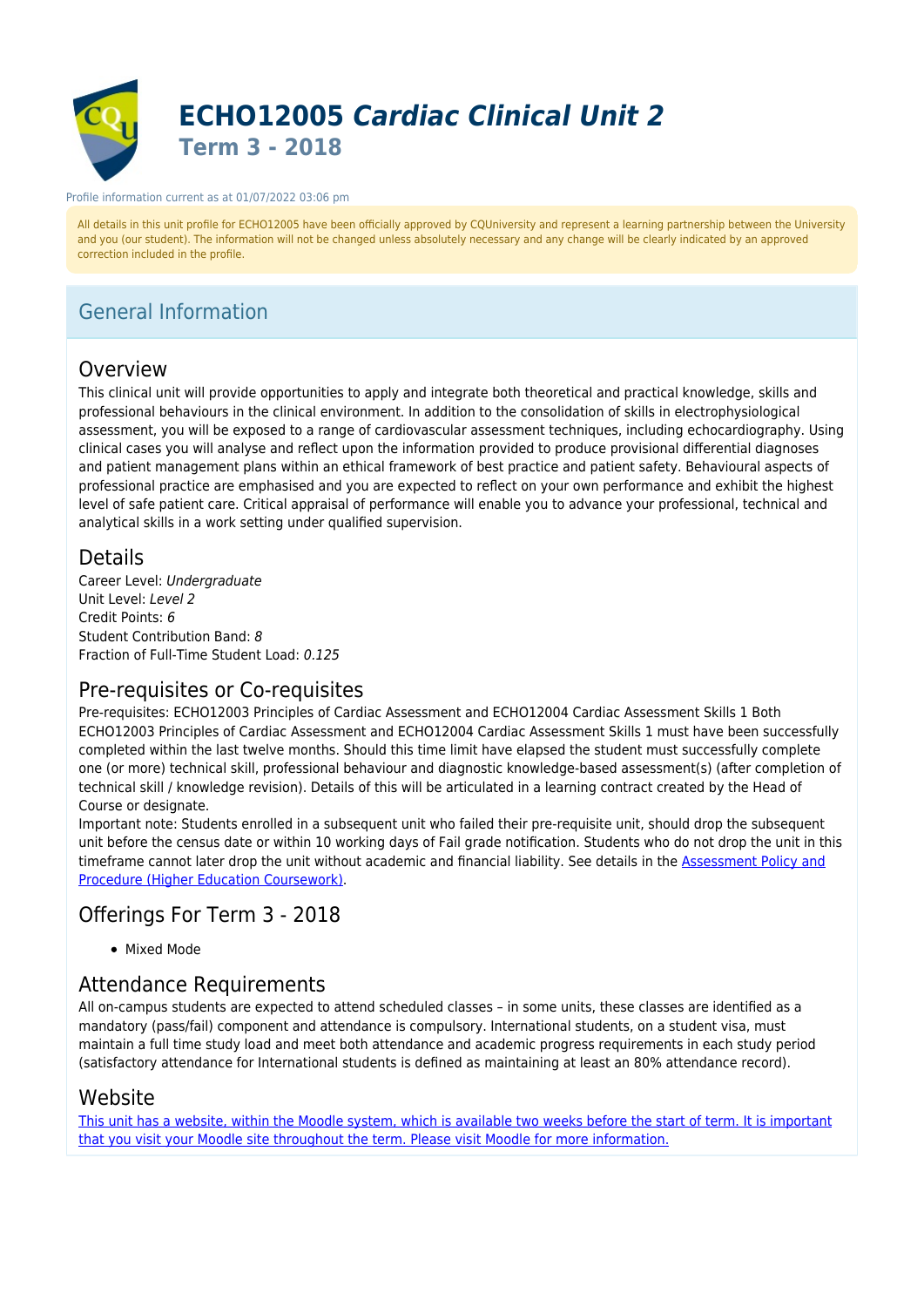

#### Profile information current as at 01/07/2022 03:06 pm

All details in this unit profile for ECHO12005 have been officially approved by CQUniversity and represent a learning partnership between the University and you (our student). The information will not be changed unless absolutely necessary and any change will be clearly indicated by an approved correction included in the profile.

# General Information

## Overview

This clinical unit will provide opportunities to apply and integrate both theoretical and practical knowledge, skills and professional behaviours in the clinical environment. In addition to the consolidation of skills in electrophysiological assessment, you will be exposed to a range of cardiovascular assessment techniques, including echocardiography. Using clinical cases you will analyse and reflect upon the information provided to produce provisional differential diagnoses and patient management plans within an ethical framework of best practice and patient safety. Behavioural aspects of professional practice are emphasised and you are expected to reflect on your own performance and exhibit the highest level of safe patient care. Critical appraisal of performance will enable you to advance your professional, technical and analytical skills in a work setting under qualified supervision.

## **Details**

Career Level: Undergraduate Unit Level: Level 2 Credit Points: 6 Student Contribution Band: 8 Fraction of Full-Time Student Load: 0.125

## Pre-requisites or Co-requisites

Pre-requisites: ECHO12003 Principles of Cardiac Assessment and ECHO12004 Cardiac Assessment Skills 1 Both ECHO12003 Principles of Cardiac Assessment and ECHO12004 Cardiac Assessment Skills 1 must have been successfully completed within the last twelve months. Should this time limit have elapsed the student must successfully complete one (or more) technical skill, professional behaviour and diagnostic knowledge-based assessment(s) (after completion of technical skill / knowledge revision). Details of this will be articulated in a learning contract created by the Head of Course or designate.

Important note: Students enrolled in a subsequent unit who failed their pre-requisite unit, should drop the subsequent unit before the census date or within 10 working days of Fail grade notification. Students who do not drop the unit in this timeframe cannot later drop the unit without academic and financial liability. See details in the [Assessment Policy and](https://www.cqu.edu.au/policy) [Procedure \(Higher Education Coursework\)](https://www.cqu.edu.au/policy).

## Offerings For Term 3 - 2018

• Mixed Mode

## Attendance Requirements

All on-campus students are expected to attend scheduled classes – in some units, these classes are identified as a mandatory (pass/fail) component and attendance is compulsory. International students, on a student visa, must maintain a full time study load and meet both attendance and academic progress requirements in each study period (satisfactory attendance for International students is defined as maintaining at least an 80% attendance record).

## Website

[This unit has a website, within the Moodle system, which is available two weeks before the start of term. It is important](https://moodle.cqu.edu.au) [that you visit your Moodle site throughout the term. Please visit Moodle for more information.](https://moodle.cqu.edu.au)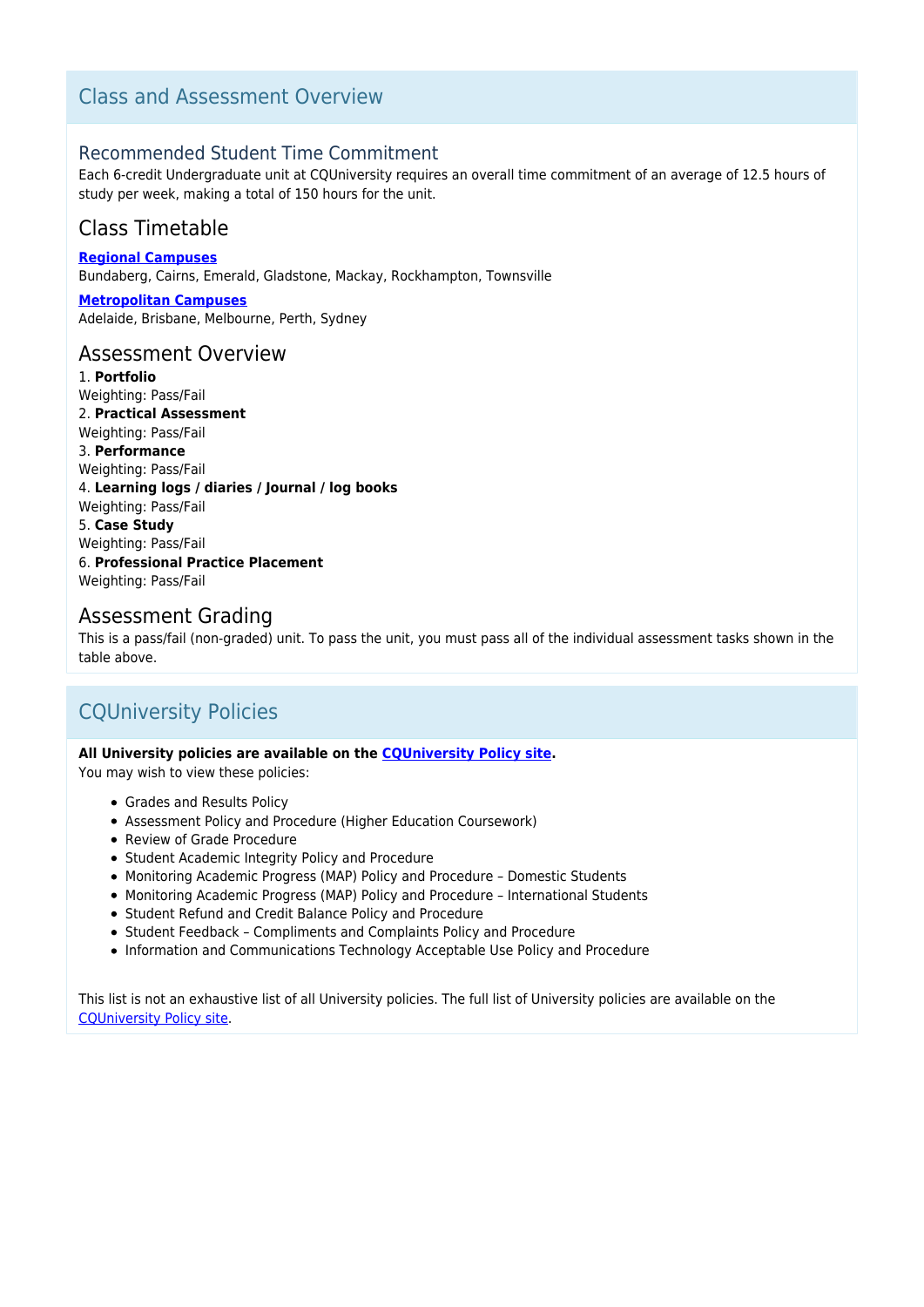## Class and Assessment Overview

## Recommended Student Time Commitment

Each 6-credit Undergraduate unit at CQUniversity requires an overall time commitment of an average of 12.5 hours of study per week, making a total of 150 hours for the unit.

## Class Timetable

**[Regional Campuses](https://handbook.cqu.edu.au/facet/timetables)**

Bundaberg, Cairns, Emerald, Gladstone, Mackay, Rockhampton, Townsville

**[Metropolitan Campuses](https://handbook.cqu.edu.au/facet/timetables)** Adelaide, Brisbane, Melbourne, Perth, Sydney

## Assessment Overview

1. **Portfolio** Weighting: Pass/Fail 2. **Practical Assessment** Weighting: Pass/Fail 3. **Performance** Weighting: Pass/Fail 4. **Learning logs / diaries / Journal / log books** Weighting: Pass/Fail 5. **Case Study** Weighting: Pass/Fail 6. **Professional Practice Placement** Weighting: Pass/Fail

## Assessment Grading

This is a pass/fail (non-graded) unit. To pass the unit, you must pass all of the individual assessment tasks shown in the table above.

## CQUniversity Policies

#### **All University policies are available on the [CQUniversity Policy site.](https://policy.cqu.edu.au/)**

You may wish to view these policies:

- Grades and Results Policy
- Assessment Policy and Procedure (Higher Education Coursework)
- Review of Grade Procedure
- Student Academic Integrity Policy and Procedure
- Monitoring Academic Progress (MAP) Policy and Procedure Domestic Students
- Monitoring Academic Progress (MAP) Policy and Procedure International Students
- Student Refund and Credit Balance Policy and Procedure
- Student Feedback Compliments and Complaints Policy and Procedure
- Information and Communications Technology Acceptable Use Policy and Procedure

This list is not an exhaustive list of all University policies. The full list of University policies are available on the [CQUniversity Policy site.](https://policy.cqu.edu.au/)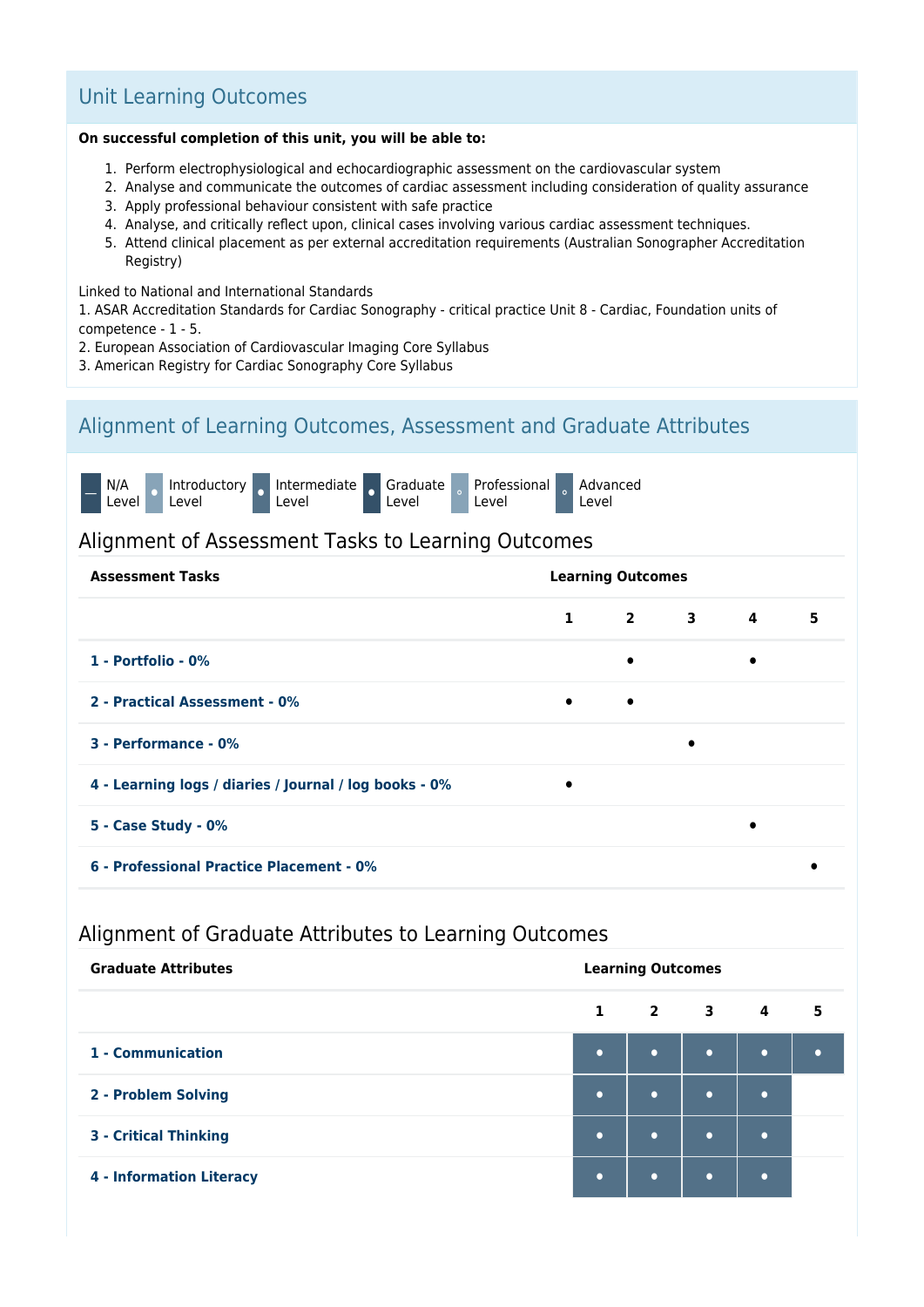## Unit Learning Outcomes

#### **On successful completion of this unit, you will be able to:**

- 1. Perform electrophysiological and echocardiographic assessment on the cardiovascular system
- 2. Analyse and communicate the outcomes of cardiac assessment including consideration of quality assurance
- 3. Apply professional behaviour consistent with safe practice
- 4. Analyse, and critically reflect upon, clinical cases involving various cardiac assessment techniques.
- 5. Attend clinical placement as per external accreditation requirements (Australian Sonographer Accreditation Registry)

#### Linked to National and International Standards

1. ASAR Accreditation Standards for Cardiac Sonography - critical practice Unit 8 - Cardiac, Foundation units of competence - 1 - 5.

- 2. European Association of Cardiovascular Imaging Core Syllabus
- 3. American Registry for Cardiac Sonography Core Syllabus

## Alignment of Learning Outcomes, Assessment and Graduate Attributes



## Alignment of Assessment Tasks to Learning Outcomes

| <b>Assessment Tasks</b>                                | <b>Learning Outcomes</b> |                             |           |           |   |  |  |  |
|--------------------------------------------------------|--------------------------|-----------------------------|-----------|-----------|---|--|--|--|
|                                                        |                          | $1 \quad 2 \quad 3 \quad 4$ |           |           | 5 |  |  |  |
| 1 - Portfolio - 0%                                     |                          | $\bullet$                   |           | $\bullet$ |   |  |  |  |
| 2 - Practical Assessment - 0%                          | $\bullet$                | $\bullet$                   |           |           |   |  |  |  |
| 3 - Performance - 0%                                   |                          |                             | $\bullet$ |           |   |  |  |  |
| 4 - Learning logs / diaries / Journal / log books - 0% | $\bullet$                |                             |           |           |   |  |  |  |
| 5 - Case Study - 0%                                    |                          |                             |           |           |   |  |  |  |
| 6 - Professional Practice Placement - 0%               |                          |                             |           |           |   |  |  |  |

## Alignment of Graduate Attributes to Learning Outcomes

| <b>Graduate Attributes</b>      | <b>Learning Outcomes</b> |                          |           |           |   |  |  |  |
|---------------------------------|--------------------------|--------------------------|-----------|-----------|---|--|--|--|
|                                 | $\mathbf{1}$             | $\overline{\mathbf{2}}$  | $3 \t 4$  |           | 5 |  |  |  |
| 1 - Communication               | $\bullet$                | $\bullet$                | $\bullet$ | $\bullet$ |   |  |  |  |
| 2 - Problem Solving             | $\bullet$                | $\overline{\phantom{0}}$ | $\bullet$ | $\bullet$ |   |  |  |  |
| <b>3 - Critical Thinking</b>    | $\bullet$                | $\bullet$                | $\bullet$ |           |   |  |  |  |
| <b>4 - Information Literacy</b> | $\bullet$                | ٠                        | $\bullet$ |           |   |  |  |  |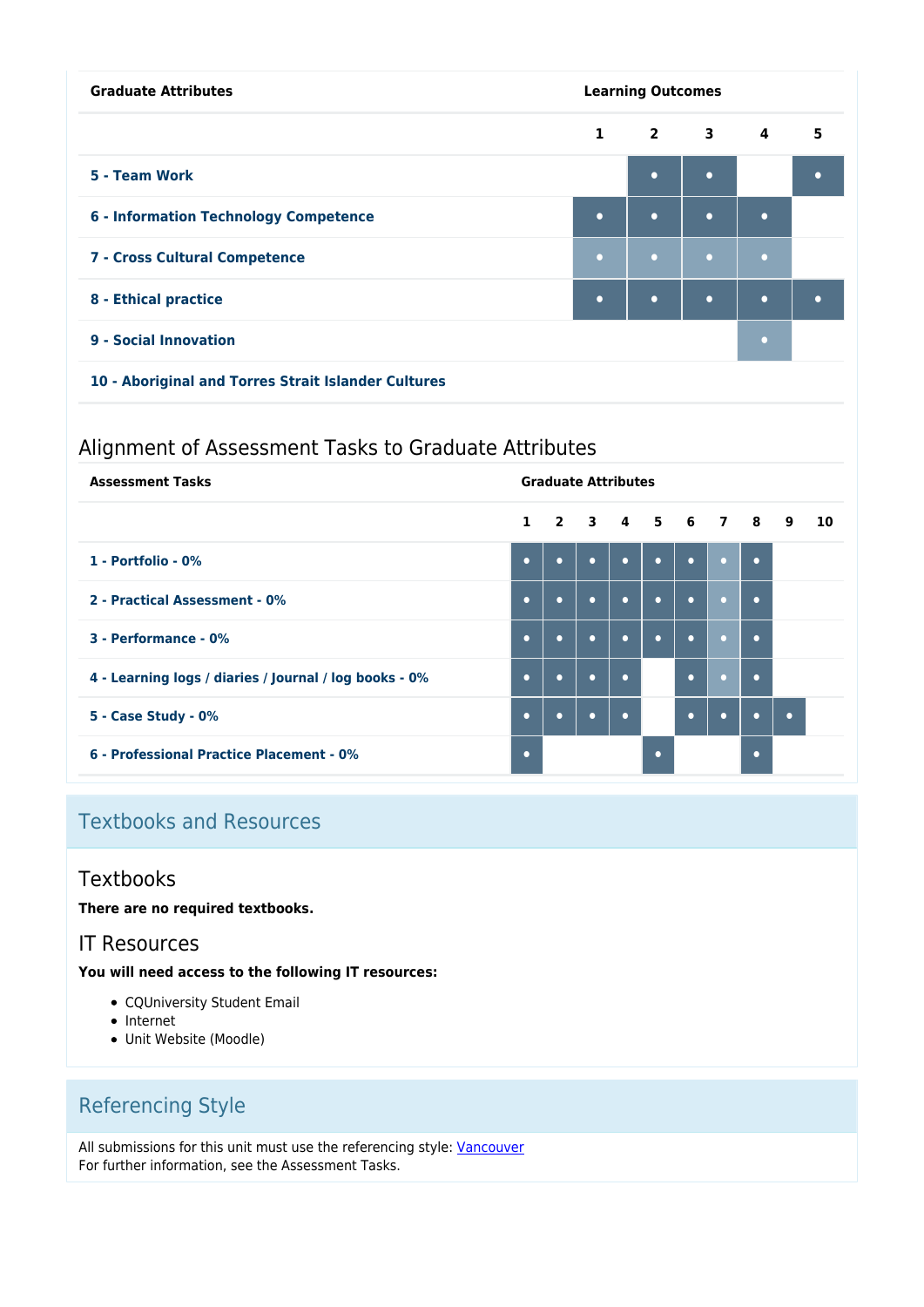| <b>Graduate Attributes</b>                          | <b>Learning Outcomes</b> |                |             |           |           |  |
|-----------------------------------------------------|--------------------------|----------------|-------------|-----------|-----------|--|
|                                                     | $\mathbf{1}$             | $\overline{2}$ | $3^{\circ}$ | 4         | 5         |  |
| 5 - Team Work                                       |                          | $\bullet$      | $\bullet$   |           | ٠         |  |
| <b>6 - Information Technology Competence</b>        | $\bullet$                | $\bullet$      | $\bullet$   | $\bullet$ |           |  |
| 7 - Cross Cultural Competence                       | $\bullet$                | $\bullet$      | $\bullet$   | $\bullet$ |           |  |
| 8 - Ethical practice                                | $\bullet$                | $\bullet$      | $\bullet$   | $\bullet$ | $\bullet$ |  |
| 9 - Social Innovation                               |                          |                |             | o         |           |  |
| 10 - Aboriginal and Torres Strait Islander Cultures |                          |                |             |           |           |  |

## Alignment of Assessment Tasks to Graduate Attributes

| <b>Assessment Tasks</b>                                | <b>Graduate Attributes</b> |                   |           |           |           |           |           |           |           |    |
|--------------------------------------------------------|----------------------------|-------------------|-----------|-----------|-----------|-----------|-----------|-----------|-----------|----|
|                                                        |                            | 1 2 3 4 5 6 7 8 9 |           |           |           |           |           |           |           | 10 |
| 1 - Portfolio - 0%                                     | $\bullet$                  | $\bullet$         | $\bullet$ | $\bullet$ | $\bullet$ | $\bullet$ | $\bullet$ | $\bullet$ |           |    |
| 2 - Practical Assessment - 0%                          | $\bullet$                  | $\bullet$         | $\bullet$ | $\bullet$ | $\bullet$ | $\bullet$ | $\bullet$ | $\bullet$ |           |    |
| 3 - Performance - 0%                                   | $\bullet$                  | $\bullet$         | $\bullet$ | $\bullet$ | $\bullet$ | $\bullet$ | $\bullet$ | $\bullet$ |           |    |
| 4 - Learning logs / diaries / Journal / log books - 0% | $\bullet$                  | $\bullet$         | $\bullet$ | $\bullet$ |           | $\bullet$ | $\bullet$ | $\bullet$ |           |    |
| 5 - Case Study - 0%                                    | $\bullet$                  | $\bullet$         | $\bullet$ | $\bullet$ |           | $\bullet$ | $\bullet$ | ٠         | $\bullet$ |    |
| 6 - Professional Practice Placement - 0%               | $\bullet$                  |                   |           |           | $\bullet$ |           |           | ٠         |           |    |

# Textbooks and Resources

## **Textbooks**

**There are no required textbooks.**

## IT Resources

**You will need access to the following IT resources:**

- CQUniversity Student Email
- Internet
- Unit Website (Moodle)

# Referencing Style

All submissions for this unit must use the referencing style: [Vancouver](https://delivery-cqucontenthub.stylelabs.cloud/api/public/content/vancouver-referencing-style.pdf?v=b2634684) For further information, see the Assessment Tasks.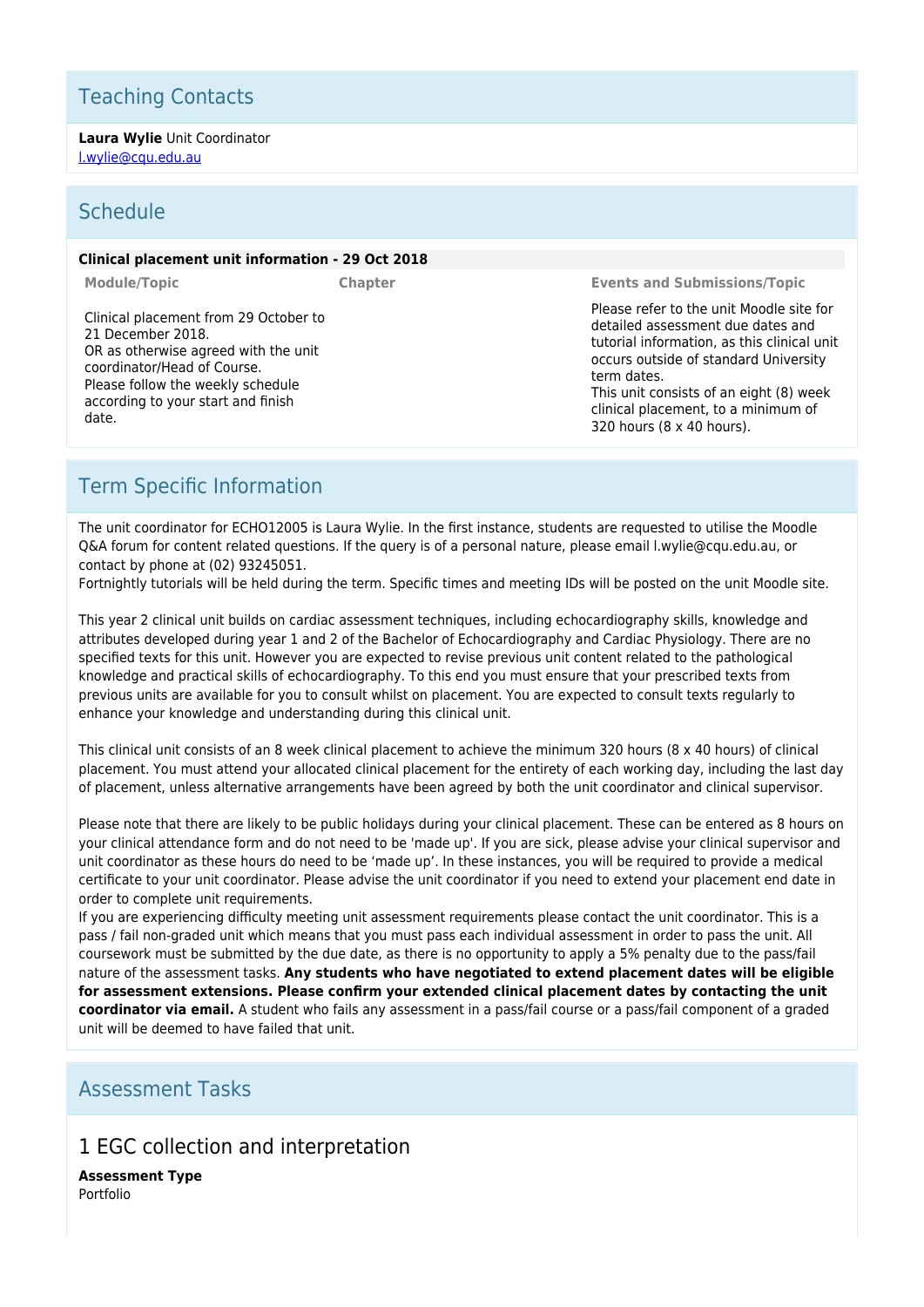# Teaching Contacts

**Laura Wylie** Unit Coordinator [l.wylie@cqu.edu.au](mailto:l.wylie@cqu.edu.au)

## Schedule

#### **Clinical placement unit information - 29 Oct 2018**

Clinical placement from 29 October to 21 December 2018. OR as otherwise agreed with the unit coordinator/Head of Course. Please follow the weekly schedule according to your start and finish date.

**Module/Topic Chapter Events and Submissions/Topic**

Please refer to the unit Moodle site for detailed assessment due dates and tutorial information, as this clinical unit occurs outside of standard University term dates. This unit consists of an eight (8) week

clinical placement, to a minimum of 320 hours (8 x 40 hours).

## Term Specific Information

The unit coordinator for ECHO12005 is Laura Wylie. In the first instance, students are requested to utilise the Moodle Q&A forum for content related questions. If the query is of a personal nature, please email l.wylie@cqu.edu.au, or contact by phone at (02) 93245051.

Fortnightly tutorials will be held during the term. Specific times and meeting IDs will be posted on the unit Moodle site.

This year 2 clinical unit builds on cardiac assessment techniques, including echocardiography skills, knowledge and attributes developed during year 1 and 2 of the Bachelor of Echocardiography and Cardiac Physiology. There are no specified texts for this unit. However you are expected to revise previous unit content related to the pathological knowledge and practical skills of echocardiography. To this end you must ensure that your prescribed texts from previous units are available for you to consult whilst on placement. You are expected to consult texts regularly to enhance your knowledge and understanding during this clinical unit.

This clinical unit consists of an 8 week clinical placement to achieve the minimum 320 hours (8 x 40 hours) of clinical placement. You must attend your allocated clinical placement for the entirety of each working day, including the last day of placement, unless alternative arrangements have been agreed by both the unit coordinator and clinical supervisor.

Please note that there are likely to be public holidays during your clinical placement. These can be entered as 8 hours on your clinical attendance form and do not need to be 'made up'. If you are sick, please advise your clinical supervisor and unit coordinator as these hours do need to be 'made up'. In these instances, you will be required to provide a medical certificate to your unit coordinator. Please advise the unit coordinator if you need to extend your placement end date in order to complete unit requirements.

If you are experiencing difficulty meeting unit assessment requirements please contact the unit coordinator. This is a pass / fail non-graded unit which means that you must pass each individual assessment in order to pass the unit. All coursework must be submitted by the due date, as there is no opportunity to apply a 5% penalty due to the pass/fail nature of the assessment tasks. **Any students who have negotiated to extend placement dates will be eligible for assessment extensions. Please confirm your extended clinical placement dates by contacting the unit coordinator via email.** A student who fails any assessment in a pass/fail course or a pass/fail component of a graded unit will be deemed to have failed that unit.

## Assessment Tasks

## 1 EGC collection and interpretation

**Assessment Type** Portfolio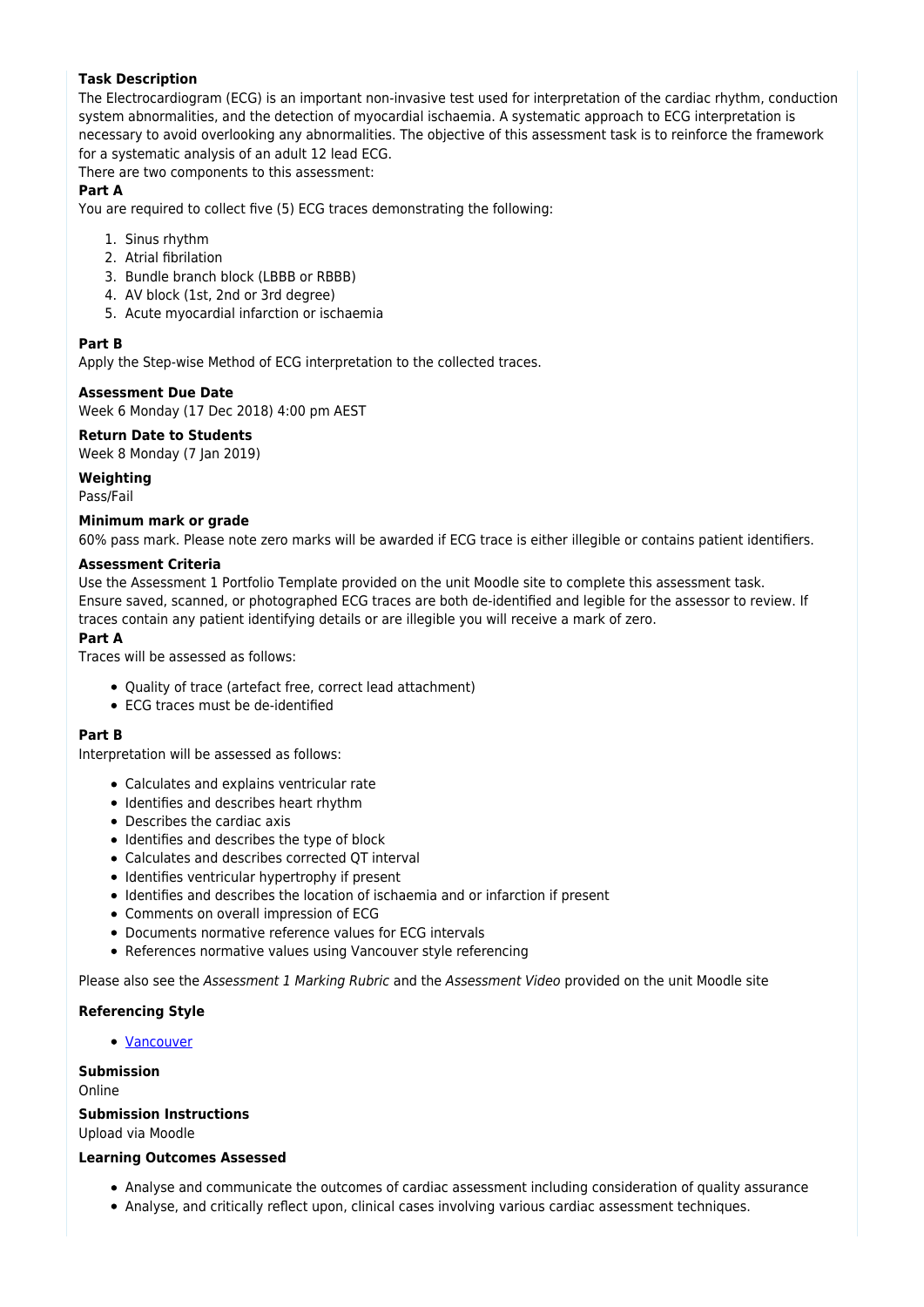## **Task Description**

The Electrocardiogram (ECG) is an important non-invasive test used for interpretation of the cardiac rhythm, conduction system abnormalities, and the detection of myocardial ischaemia. A systematic approach to ECG interpretation is necessary to avoid overlooking any abnormalities. The objective of this assessment task is to reinforce the framework for a systematic analysis of an adult 12 lead ECG.

There are two components to this assessment:

### **Part A**

You are required to collect five (5) ECG traces demonstrating the following:

- 1. Sinus rhythm
- 2. Atrial fibrilation
- 3. Bundle branch block (LBBB or RBBB)
- 4. AV block (1st, 2nd or 3rd degree)
- 5. Acute myocardial infarction or ischaemia

### **Part B**

Apply the Step-wise Method of ECG interpretation to the collected traces.

### **Assessment Due Date**

Week 6 Monday (17 Dec 2018) 4:00 pm AEST

### **Return Date to Students**

Week 8 Monday (7 Ian 2019)

#### **Weighting**

Pass/Fail

#### **Minimum mark or grade**

60% pass mark. Please note zero marks will be awarded if ECG trace is either illegible or contains patient identifiers.

#### **Assessment Criteria**

Use the Assessment 1 Portfolio Template provided on the unit Moodle site to complete this assessment task. Ensure saved, scanned, or photographed ECG traces are both de-identified and legible for the assessor to review. If traces contain any patient identifying details or are illegible you will receive a mark of zero.

### **Part A**

Traces will be assessed as follows:

- Quality of trace (artefact free, correct lead attachment)
- ECG traces must be de-identified

#### **Part B**

Interpretation will be assessed as follows:

- Calculates and explains ventricular rate
- Identifies and describes heart rhythm
- Describes the cardiac axis
- Identifies and describes the type of block
- Calculates and describes corrected QT interval
- Identifies ventricular hypertrophy if present
- Identifies and describes the location of ischaemia and or infarction if present
- Comments on overall impression of ECG
- Documents normative reference values for ECG intervals
- References normative values using Vancouver style referencing

Please also see the Assessment 1 Marking Rubric and the Assessment Video provided on the unit Moodle site

#### **Referencing Style**

• [Vancouver](https://delivery-cqucontenthub.stylelabs.cloud/api/public/content/vancouver-referencing-style.pdf?v=b2634684)

#### **Submission**

Online

#### **Submission Instructions**

Upload via Moodle

#### **Learning Outcomes Assessed**

- Analyse and communicate the outcomes of cardiac assessment including consideration of quality assurance
- Analyse, and critically reflect upon, clinical cases involving various cardiac assessment techniques.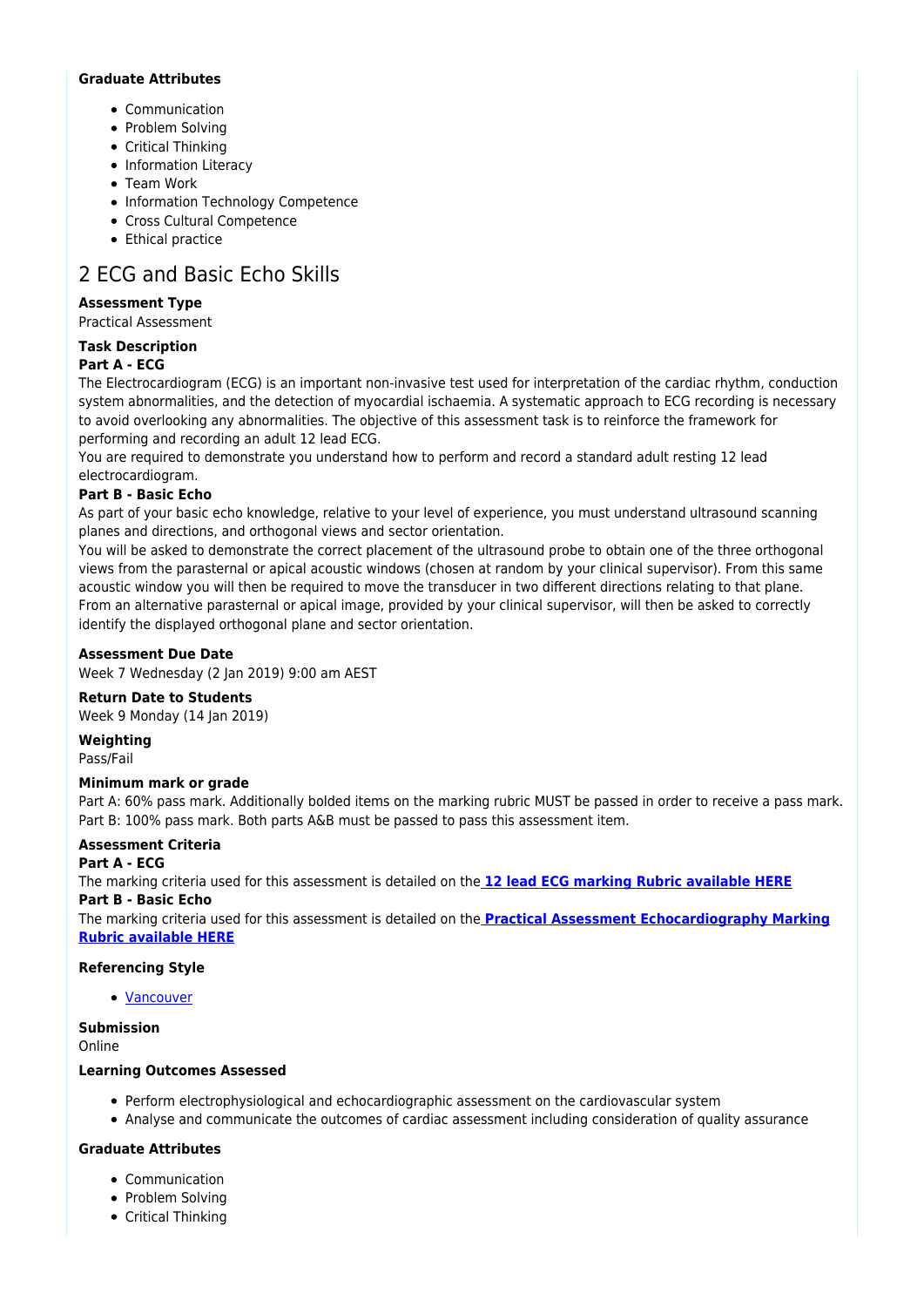### **Graduate Attributes**

- Communication
- Problem Solving
- Critical Thinking
- Information Literacy
- Team Work
- Information Technology Competence
- Cross Cultural Competence
- Ethical practice

# 2 ECG and Basic Echo Skills

## **Assessment Type**

Practical Assessment

## **Task Description**

## **Part A - ECG**

The Electrocardiogram (ECG) is an important non-invasive test used for interpretation of the cardiac rhythm, conduction system abnormalities, and the detection of myocardial ischaemia. A systematic approach to ECG recording is necessary to avoid overlooking any abnormalities. The objective of this assessment task is to reinforce the framework for performing and recording an adult 12 lead ECG.

You are required to demonstrate you understand how to perform and record a standard adult resting 12 lead electrocardiogram.

## **Part B - Basic Echo**

As part of your basic echo knowledge, relative to your level of experience, you must understand ultrasound scanning planes and directions, and orthogonal views and sector orientation.

You will be asked to demonstrate the correct placement of the ultrasound probe to obtain one of the three orthogonal views from the parasternal or apical acoustic windows (chosen at random by your clinical supervisor). From this same acoustic window you will then be required to move the transducer in two different directions relating to that plane. From an alternative parasternal or apical image, provided by your clinical supervisor, will then be asked to correctly identify the displayed orthogonal plane and sector orientation.

## **Assessment Due Date**

Week 7 Wednesday (2 Jan 2019) 9:00 am AEST

### **Return Date to Students**

Week 9 Monday (14 Jan 2019)

**Weighting** Pass/Fail

### **Minimum mark or grade**

Part A: 60% pass mark. Additionally bolded items on the marking rubric MUST be passed in order to receive a pass mark. Part B: 100% pass mark. Both parts A&B must be passed to pass this assessment item.

### **Assessment Criteria**

#### **Part A - ECG**

The marking criteria used for this assessment is detailed on the **[12 lead ECG marking Rubric available HERE](https://moodle.cqu.edu.au/pluginfile.php/1477456/mod_resource/content/1/CV69%20Practical%2012%20Lead%20ECG%20Marking%20Rubric.pdf) Part B - Basic Echo**

The marking criteria used for this assessment is detailed on the **[Practical Assessment Echocardiography Marking](https://moodle.cqu.edu.au/pluginfile.php/1477415/mod_resource/content/3/Assessment%202%20-%20Echo%20Practical%20Assessment%20Marking%20Rubric.pdf) [Rubric available HERE](https://moodle.cqu.edu.au/pluginfile.php/1477415/mod_resource/content/3/Assessment%202%20-%20Echo%20Practical%20Assessment%20Marking%20Rubric.pdf)**

### **Referencing Style**

[Vancouver](https://delivery-cqucontenthub.stylelabs.cloud/api/public/content/vancouver-referencing-style.pdf?v=b2634684)

### **Submission**

Online

#### **Learning Outcomes Assessed**

- Perform electrophysiological and echocardiographic assessment on the cardiovascular system
- Analyse and communicate the outcomes of cardiac assessment including consideration of quality assurance

### **Graduate Attributes**

- Communication
- Problem Solving
- Critical Thinking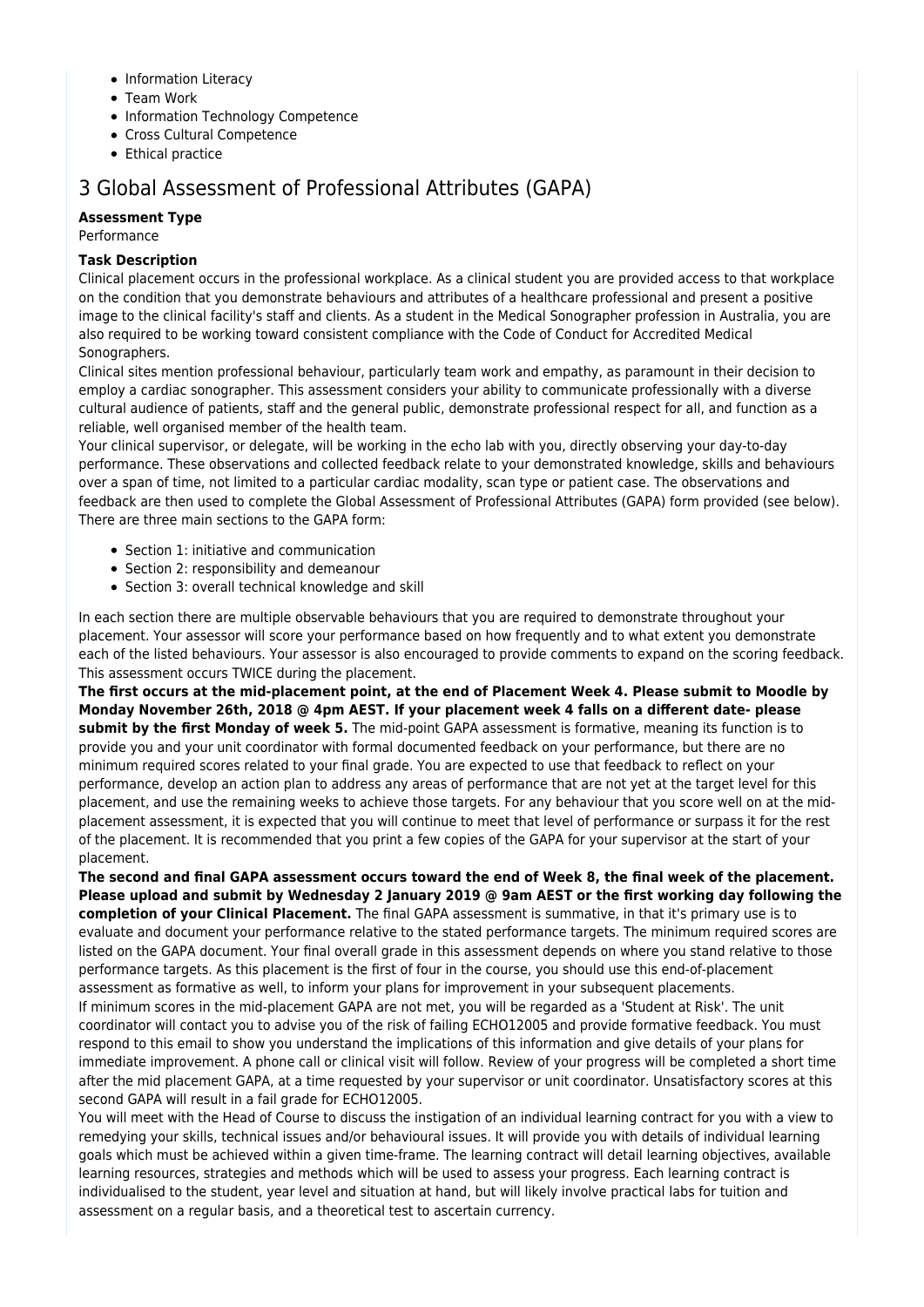- Information Literacy
- Team Work
- Information Technology Competence
- Cross Cultural Competence
- $\bullet$  Ethical practice

## 3 Global Assessment of Professional Attributes (GAPA)

## **Assessment Type**

Performance

### **Task Description**

Clinical placement occurs in the professional workplace. As a clinical student you are provided access to that workplace on the condition that you demonstrate behaviours and attributes of a healthcare professional and present a positive image to the clinical facility's staff and clients. As a student in the Medical Sonographer profession in Australia, you are also required to be working toward consistent compliance with the Code of Conduct for Accredited Medical Sonographers.

Clinical sites mention professional behaviour, particularly team work and empathy, as paramount in their decision to employ a cardiac sonographer. This assessment considers your ability to communicate professionally with a diverse cultural audience of patients, staff and the general public, demonstrate professional respect for all, and function as a reliable, well organised member of the health team.

Your clinical supervisor, or delegate, will be working in the echo lab with you, directly observing your day-to-day performance. These observations and collected feedback relate to your demonstrated knowledge, skills and behaviours over a span of time, not limited to a particular cardiac modality, scan type or patient case. The observations and feedback are then used to complete the Global Assessment of Professional Attributes (GAPA) form provided (see below). There are three main sections to the GAPA form:

- Section 1: initiative and communication
- Section 2: responsibility and demeanour
- Section 3: overall technical knowledge and skill

In each section there are multiple observable behaviours that you are required to demonstrate throughout your placement. Your assessor will score your performance based on how frequently and to what extent you demonstrate each of the listed behaviours. Your assessor is also encouraged to provide comments to expand on the scoring feedback. This assessment occurs TWICE during the placement.

**The first occurs at the mid-placement point, at the end of Placement Week 4. Please submit to Moodle by Monday November 26th, 2018 @ 4pm AEST. If your placement week 4 falls on a different date- please submit by the first Monday of week 5.** The mid-point GAPA assessment is formative, meaning its function is to provide you and your unit coordinator with formal documented feedback on your performance, but there are no minimum required scores related to your final grade. You are expected to use that feedback to reflect on your performance, develop an action plan to address any areas of performance that are not yet at the target level for this placement, and use the remaining weeks to achieve those targets. For any behaviour that you score well on at the midplacement assessment, it is expected that you will continue to meet that level of performance or surpass it for the rest of the placement. It is recommended that you print a few copies of the GAPA for your supervisor at the start of your placement.

**The second and final GAPA assessment occurs toward the end of Week 8, the final week of the placement. Please upload and submit by Wednesday 2 January 2019 @ 9am AEST or the first working day following the completion of your Clinical Placement.** The final GAPA assessment is summative, in that it's primary use is to evaluate and document your performance relative to the stated performance targets. The minimum required scores are listed on the GAPA document. Your final overall grade in this assessment depends on where you stand relative to those performance targets. As this placement is the first of four in the course, you should use this end-of-placement assessment as formative as well, to inform your plans for improvement in your subsequent placements. If minimum scores in the mid-placement GAPA are not met, you will be regarded as a 'Student at Risk'. The unit coordinator will contact you to advise you of the risk of failing ECHO12005 and provide formative feedback. You must respond to this email to show you understand the implications of this information and give details of your plans for immediate improvement. A phone call or clinical visit will follow. Review of your progress will be completed a short time after the mid placement GAPA, at a time requested by your supervisor or unit coordinator. Unsatisfactory scores at this second GAPA will result in a fail grade for ECHO12005.

You will meet with the Head of Course to discuss the instigation of an individual learning contract for you with a view to remedying your skills, technical issues and/or behavioural issues. It will provide you with details of individual learning goals which must be achieved within a given time-frame. The learning contract will detail learning objectives, available learning resources, strategies and methods which will be used to assess your progress. Each learning contract is individualised to the student, year level and situation at hand, but will likely involve practical labs for tuition and assessment on a regular basis, and a theoretical test to ascertain currency.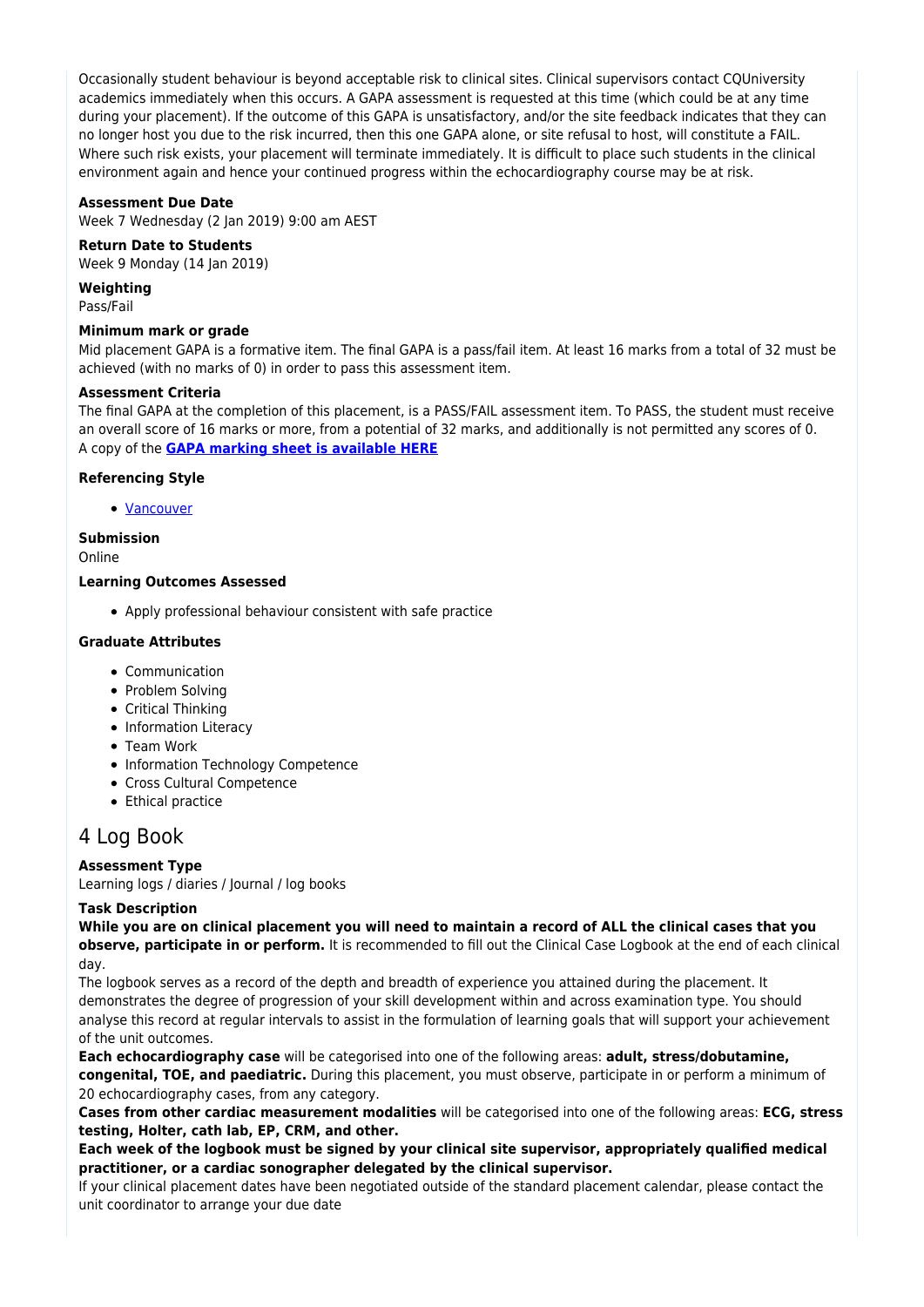Occasionally student behaviour is beyond acceptable risk to clinical sites. Clinical supervisors contact CQUniversity academics immediately when this occurs. A GAPA assessment is requested at this time (which could be at any time during your placement). If the outcome of this GAPA is unsatisfactory, and/or the site feedback indicates that they can no longer host you due to the risk incurred, then this one GAPA alone, or site refusal to host, will constitute a FAIL. Where such risk exists, your placement will terminate immediately. It is difficult to place such students in the clinical environment again and hence your continued progress within the echocardiography course may be at risk.

#### **Assessment Due Date**

Week 7 Wednesday (2 Jan 2019) 9:00 am AEST

### **Return Date to Students**

Week 9 Monday (14 Jan 2019)

**Weighting**

Pass/Fail

### **Minimum mark or grade**

Mid placement GAPA is a formative item. The final GAPA is a pass/fail item. At least 16 marks from a total of 32 must be achieved (with no marks of 0) in order to pass this assessment item.

#### **Assessment Criteria**

The final GAPA at the completion of this placement, is a PASS/FAIL assessment item. To PASS, the student must receive an overall score of 16 marks or more, from a potential of 32 marks, and additionally is not permitted any scores of 0. A copy of the **[GAPA marking sheet is available HERE](https://moodle.cqu.edu.au/pluginfile.php/1476764/mod_resource/content/0/ECHO12005_Behaviour%20assessment.pdf)**

### **Referencing Style**

[Vancouver](https://delivery-cqucontenthub.stylelabs.cloud/api/public/content/vancouver-referencing-style.pdf?v=b2634684)

## **Submission**

Online

### **Learning Outcomes Assessed**

Apply professional behaviour consistent with safe practice

#### **Graduate Attributes**

- Communication
- Problem Solving
- Critical Thinking
- Information Literacy
- Team Work
- Information Technology Competence
- Cross Cultural Competence
- Ethical practice

## 4 Log Book

### **Assessment Type**

Learning logs / diaries / Journal / log books

### **Task Description**

**While you are on clinical placement you will need to maintain a record of ALL the clinical cases that you observe, participate in or perform.** It is recommended to fill out the Clinical Case Logbook at the end of each clinical day.

The logbook serves as a record of the depth and breadth of experience you attained during the placement. It demonstrates the degree of progression of your skill development within and across examination type. You should analyse this record at regular intervals to assist in the formulation of learning goals that will support your achievement of the unit outcomes.

**Each echocardiography case** will be categorised into one of the following areas: **adult, stress/dobutamine, congenital, TOE, and paediatric.** During this placement, you must observe, participate in or perform a minimum of 20 echocardiography cases, from any category.

**Cases from other cardiac measurement modalities** will be categorised into one of the following areas: **ECG, stress testing, Holter, cath lab, EP, CRM, and other.**

**Each week of the logbook must be signed by your clinical site supervisor, appropriately qualified medical practitioner, or a cardiac sonographer delegated by the clinical supervisor.**

If your clinical placement dates have been negotiated outside of the standard placement calendar, please contact the unit coordinator to arrange your due date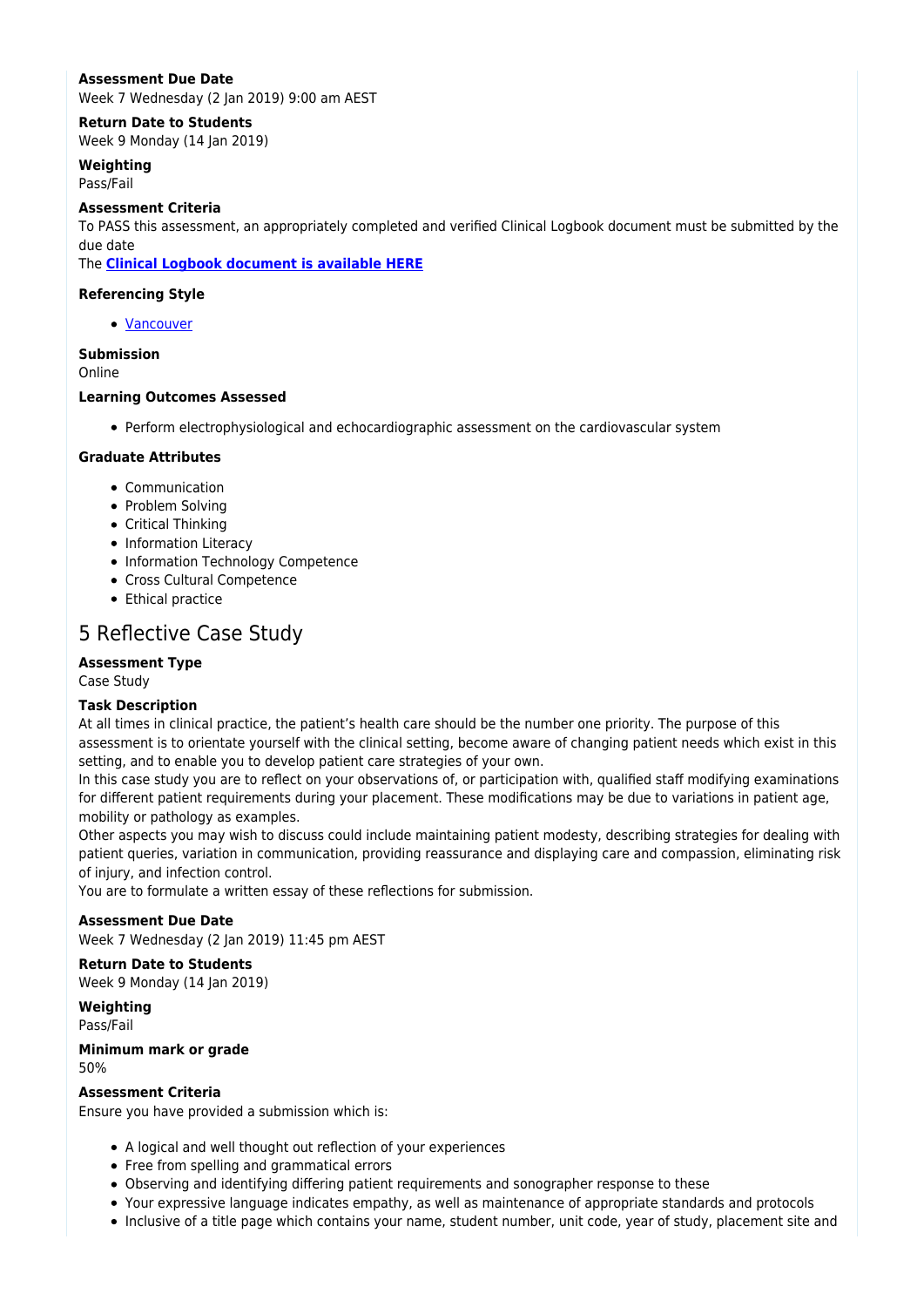### **Assessment Due Date**

Week 7 Wednesday (2 Jan 2019) 9:00 am AEST

### **Return Date to Students**

Week 9 Monday (14 Jan 2019)

**Weighting** Pass/Fail

#### **Assessment Criteria**

To PASS this assessment, an appropriately completed and verified Clinical Logbook document must be submitted by the due date

The **[Clinical Logbook document is available HERE](https://moodle.cqu.edu.au/pluginfile.php/1458304/mod_resource/content/0/ECHO12005%20Clinical%20Logbook.pdf)**

### **Referencing Style**

• [Vancouver](https://delivery-cqucontenthub.stylelabs.cloud/api/public/content/vancouver-referencing-style.pdf?v=b2634684)

### **Submission**

Online

## **Learning Outcomes Assessed**

Perform electrophysiological and echocardiographic assessment on the cardiovascular system

### **Graduate Attributes**

- Communication
- Problem Solving
- Critical Thinking
- Information Literacy
- Information Technology Competence
- Cross Cultural Competence
- Ethical practice

## 5 Reflective Case Study

### **Assessment Type**

Case Study

#### **Task Description**

At all times in clinical practice, the patient's health care should be the number one priority. The purpose of this assessment is to orientate yourself with the clinical setting, become aware of changing patient needs which exist in this setting, and to enable you to develop patient care strategies of your own.

In this case study you are to reflect on your observations of, or participation with, qualified staff modifying examinations for different patient requirements during your placement. These modifications may be due to variations in patient age, mobility or pathology as examples.

Other aspects you may wish to discuss could include maintaining patient modesty, describing strategies for dealing with patient queries, variation in communication, providing reassurance and displaying care and compassion, eliminating risk of injury, and infection control.

You are to formulate a written essay of these reflections for submission.

### **Assessment Due Date**

Week 7 Wednesday (2 Jan 2019) 11:45 pm AEST

## **Return Date to Students**

Week 9 Monday (14 Jan 2019)

**Weighting** Pass/Fail

#### **Minimum mark or grade** 50%

### **Assessment Criteria**

Ensure you have provided a submission which is:

- A logical and well thought out reflection of your experiences
- Free from spelling and grammatical errors
- Observing and identifying differing patient requirements and sonographer response to these
- Your expressive language indicates empathy, as well as maintenance of appropriate standards and protocols
- Inclusive of a title page which contains your name, student number, unit code, year of study, placement site and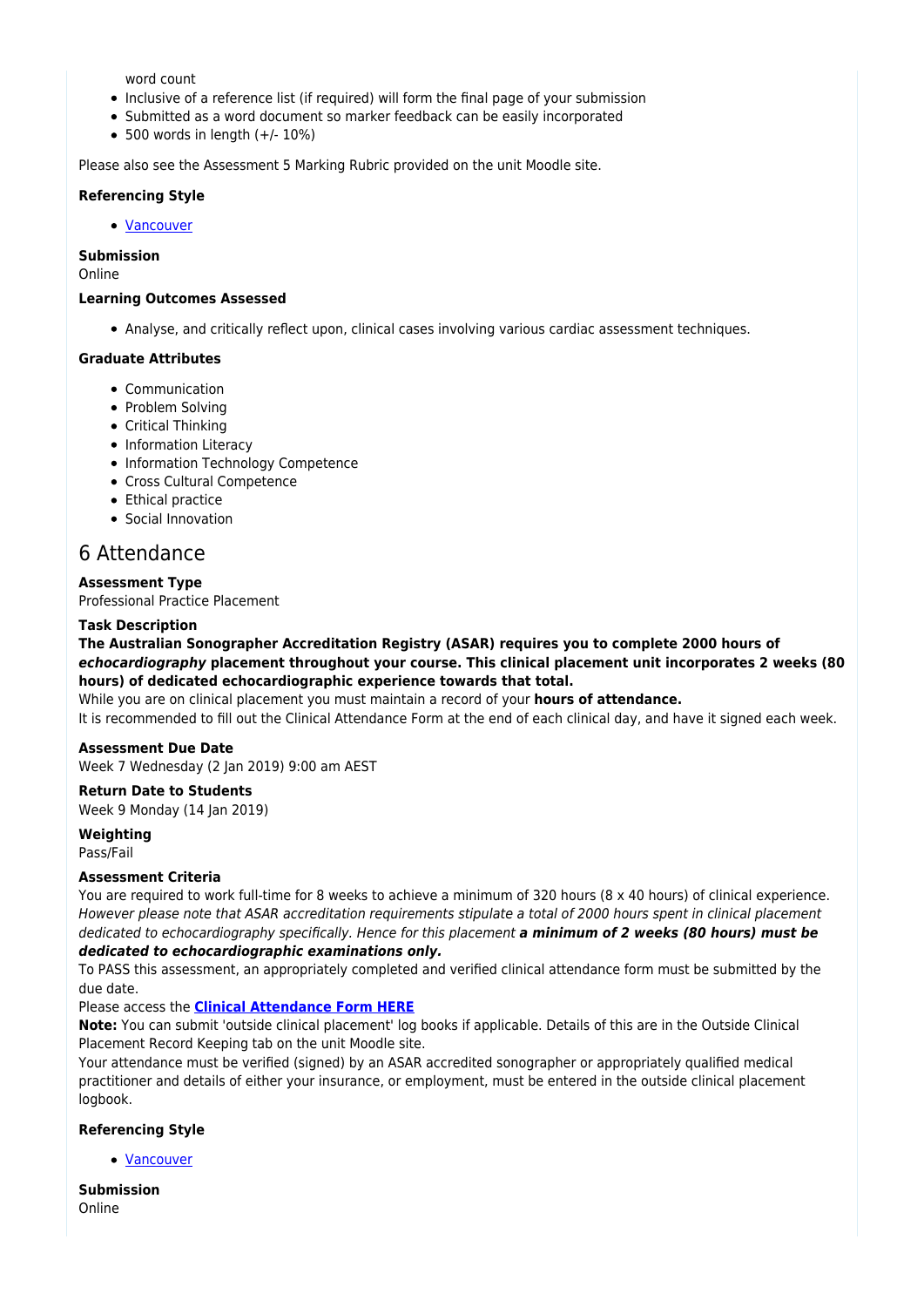word count

- Inclusive of a reference list (if required) will form the final page of your submission
- Submitted as a word document so marker feedback can be easily incorporated
- $\bullet$  500 words in length  $(+/- 10\%)$

Please also see the Assessment 5 Marking Rubric provided on the unit Moodle site.

#### **Referencing Style**

[Vancouver](https://delivery-cqucontenthub.stylelabs.cloud/api/public/content/vancouver-referencing-style.pdf?v=b2634684)

#### **Submission**

Online

#### **Learning Outcomes Assessed**

Analyse, and critically reflect upon, clinical cases involving various cardiac assessment techniques.

#### **Graduate Attributes**

- Communication
- Problem Solving
- Critical Thinking
- Information Literacy
- Information Technology Competence
- Cross Cultural Competence
- Ethical practice
- Social Innovation

## 6 Attendance

#### **Assessment Type**

Professional Practice Placement

#### **Task Description**

**The Australian Sonographer Accreditation Registry (ASAR) requires you to complete 2000 hours of** *echocardiography* **placement throughout your course. This clinical placement unit incorporates 2 weeks (80 hours) of dedicated echocardiographic experience towards that total.**

While you are on clinical placement you must maintain a record of your **hours of attendance.**

It is recommended to fill out the Clinical Attendance Form at the end of each clinical day, and have it signed each week.

#### **Assessment Due Date**

Week 7 Wednesday (2 Jan 2019) 9:00 am AEST

#### **Return Date to Students**

Week 9 Monday (14 Jan 2019)

## **Weighting**

Pass/Fail

#### **Assessment Criteria**

You are required to work full-time for 8 weeks to achieve a minimum of 320 hours (8 x 40 hours) of clinical experience. However please note that ASAR accreditation requirements stipulate a total of 2000 hours spent in clinical placement dedicated to echocardiography specifically. Hence for this placement *a minimum of 2 weeks (80 hours) must be dedicated to echocardiographic examinations only.*

To PASS this assessment, an appropriately completed and verified clinical attendance form must be submitted by the due date.

Please access the **[Clinical Attendance Form HERE](https://moodle.cqu.edu.au/pluginfile.php/1458303/mod_resource/content/0/ECHO12005_Clinical%20Attendance%20Form.pdf)**

**Note:** You can submit 'outside clinical placement' log books if applicable. Details of this are in the Outside Clinical Placement Record Keeping tab on the unit Moodle site.

Your attendance must be verified (signed) by an ASAR accredited sonographer or appropriately qualified medical practitioner and details of either your insurance, or employment, must be entered in the outside clinical placement logbook.

### **Referencing Style**

[Vancouver](https://delivery-cqucontenthub.stylelabs.cloud/api/public/content/vancouver-referencing-style.pdf?v=b2634684)

**Submission** Online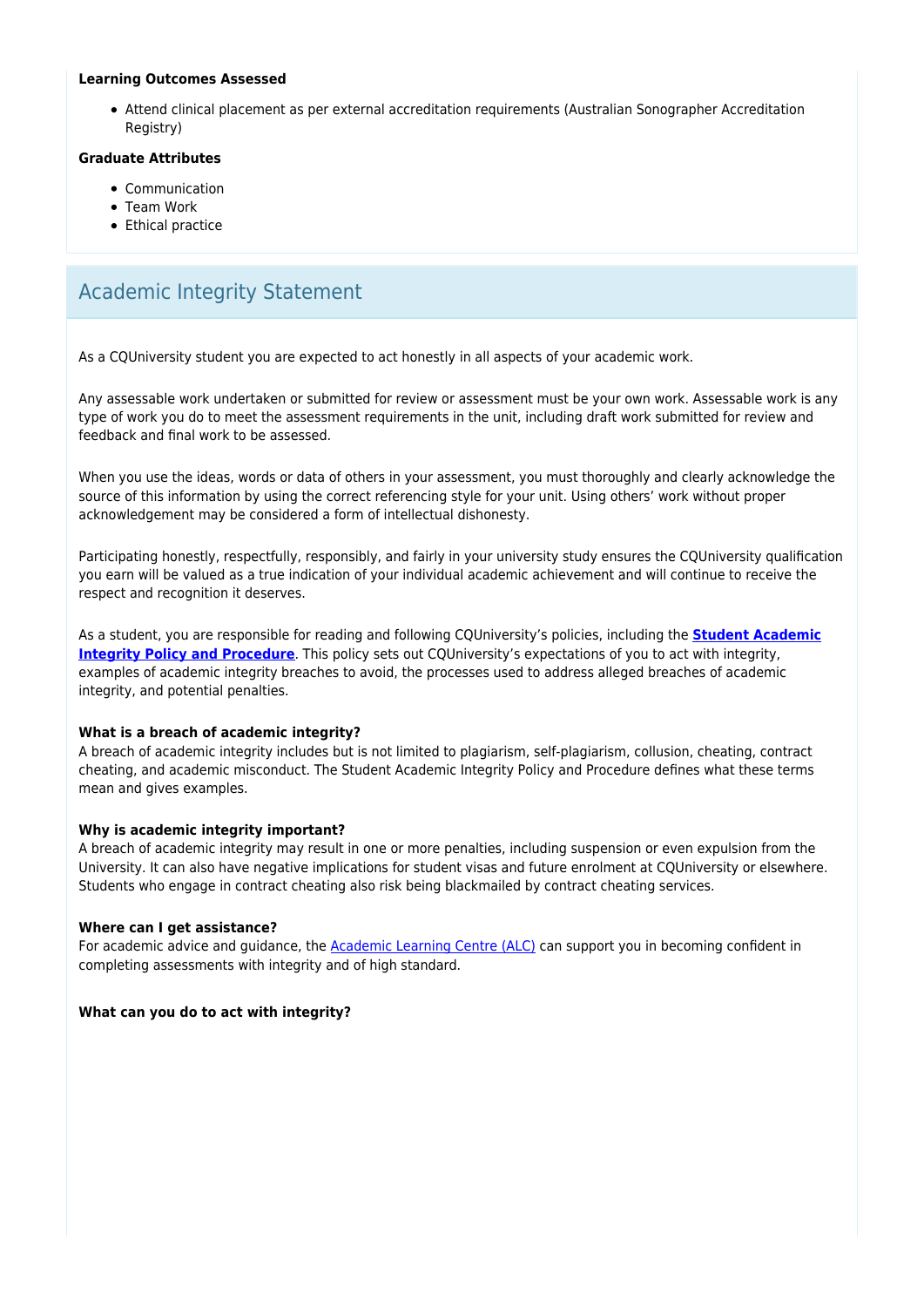#### **Learning Outcomes Assessed**

Attend clinical placement as per external accreditation requirements (Australian Sonographer Accreditation Registry)

#### **Graduate Attributes**

- Communication
- Team Work
- Ethical practice

## Academic Integrity Statement

As a CQUniversity student you are expected to act honestly in all aspects of your academic work.

Any assessable work undertaken or submitted for review or assessment must be your own work. Assessable work is any type of work you do to meet the assessment requirements in the unit, including draft work submitted for review and feedback and final work to be assessed.

When you use the ideas, words or data of others in your assessment, you must thoroughly and clearly acknowledge the source of this information by using the correct referencing style for your unit. Using others' work without proper acknowledgement may be considered a form of intellectual dishonesty.

Participating honestly, respectfully, responsibly, and fairly in your university study ensures the CQUniversity qualification you earn will be valued as a true indication of your individual academic achievement and will continue to receive the respect and recognition it deserves.

As a student, you are responsible for reading and following CQUniversity's policies, including the **[Student Academic](https://www.cqu.edu.au/policy/sharepoint-document-download?file_uri={BE8380F3-F86D-4C55-AC0D-84A81EAFD6A2}/Student%20Academic%20Integrity%20Policy%20and%20Procedure%20(formerly%20known%20as%20the%20Academic%20Misconduct%20Procedure).pdf) [Integrity Policy and Procedure](https://www.cqu.edu.au/policy/sharepoint-document-download?file_uri={BE8380F3-F86D-4C55-AC0D-84A81EAFD6A2}/Student%20Academic%20Integrity%20Policy%20and%20Procedure%20(formerly%20known%20as%20the%20Academic%20Misconduct%20Procedure).pdf)**. This policy sets out CQUniversity's expectations of you to act with integrity, examples of academic integrity breaches to avoid, the processes used to address alleged breaches of academic integrity, and potential penalties.

#### **What is a breach of academic integrity?**

A breach of academic integrity includes but is not limited to plagiarism, self-plagiarism, collusion, cheating, contract cheating, and academic misconduct. The Student Academic Integrity Policy and Procedure defines what these terms mean and gives examples.

#### **Why is academic integrity important?**

A breach of academic integrity may result in one or more penalties, including suspension or even expulsion from the University. It can also have negative implications for student visas and future enrolment at CQUniversity or elsewhere. Students who engage in contract cheating also risk being blackmailed by contract cheating services.

#### **Where can I get assistance?**

For academic advice and guidance, the [Academic Learning Centre \(ALC\)](https://www.cqu.edu.au/student-life/academic-learning-centre) can support you in becoming confident in completing assessments with integrity and of high standard.

#### **What can you do to act with integrity?**